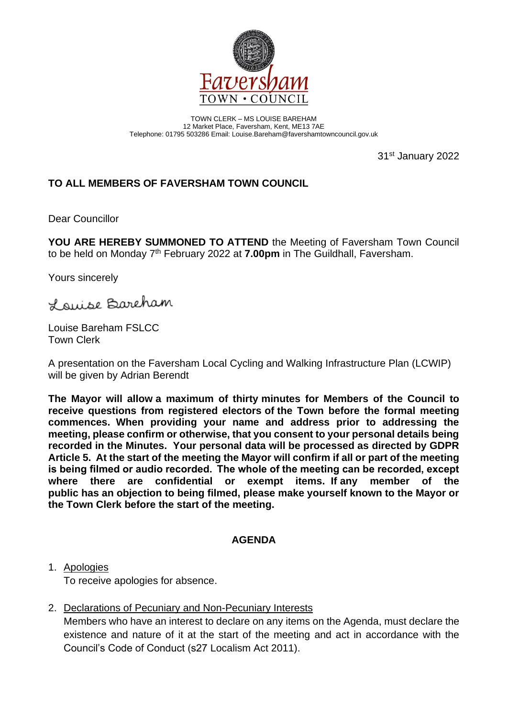

TOWN CLERK – MS LOUISE BAREHAM 12 Market Place, Faversham, Kent, ME13 7AE Telephone: 01795 503286 Email: Louise.Bareham@favershamtowncouncil.gov.uk

31st January 2022

# **TO ALL MEMBERS OF FAVERSHAM TOWN COUNCIL**

Dear Councillor

**YOU ARE HEREBY SUMMONED TO ATTEND** the Meeting of Faversham Town Council to be held on Monday 7<sup>th</sup> February 2022 at 7.00pm in The Guildhall, Faversham.

Yours sincerely

Lauise Bareham

Louise Bareham FSLCC Town Clerk

A presentation on the Faversham Local Cycling and Walking Infrastructure Plan (LCWIP) will be given by Adrian Berendt

**The Mayor will allow a maximum of thirty minutes for Members of the Council to receive questions from registered electors of the Town before the formal meeting commences. When providing your name and address prior to addressing the meeting, please confirm or otherwise, that you consent to your personal details being recorded in the Minutes. Your personal data will be processed as directed by GDPR Article 5. At the start of the meeting the Mayor will confirm if all or part of the meeting is being filmed or audio recorded.  The whole of the meeting can be recorded, except where there are confidential or exempt items. If any member of the public has an objection to being filmed, please make yourself known to the Mayor or the Town Clerk before the start of the meeting.**

#### **AGENDA**

1. Apologies

To receive apologies for absence.

2. Declarations of Pecuniary and Non-Pecuniary Interests

Members who have an interest to declare on any items on the Agenda, must declare the existence and nature of it at the start of the meeting and act in accordance with the Council's Code of Conduct (s27 Localism Act 2011).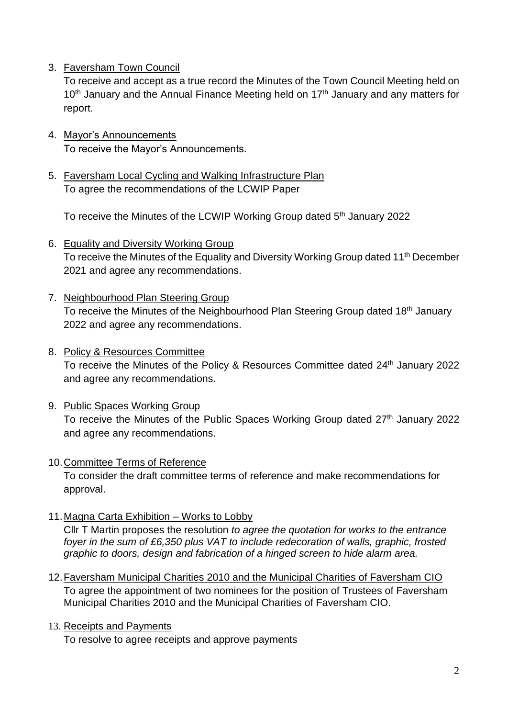3. Faversham Town Council

To receive and accept as a true record the Minutes of the Town Council Meeting held on  $10<sup>th</sup>$  January and the Annual Finance Meeting held on  $17<sup>th</sup>$  January and any matters for report.

- 4. Mayor's Announcements To receive the Mayor's Announcements.
- 5. Faversham Local Cycling and Walking Infrastructure Plan To agree the recommendations of the LCWIP Paper

To receive the Minutes of the LCWIP Working Group dated 5<sup>th</sup> January 2022

- 6. Equality and Diversity Working Group To receive the Minutes of the Equality and Diversity Working Group dated 11<sup>th</sup> December 2021 and agree any recommendations.
- 7. Neighbourhood Plan Steering Group To receive the Minutes of the Neighbourhood Plan Steering Group dated 18<sup>th</sup> January 2022 and agree any recommendations.
- 8. Policy & Resources Committee To receive the Minutes of the Policy & Resources Committee dated 24<sup>th</sup> January 2022 and agree any recommendations.
- 9. Public Spaces Working Group To receive the Minutes of the Public Spaces Working Group dated 27<sup>th</sup> January 2022 and agree any recommendations.
- 10.Committee Terms of Reference

To consider the draft committee terms of reference and make recommendations for approval.

11.Magna Carta Exhibition – Works to Lobby

Cllr T Martin proposes the resolution *to agree the quotation for works to the entrance foyer in the sum of £6,350 plus VAT to include redecoration of walls, graphic, frosted graphic to doors, design and fabrication of a hinged screen to hide alarm area.*

12. Faversham Municipal Charities 2010 and the Municipal Charities of Faversham CIO To agree the appointment of two nominees for the position of Trustees of Faversham Municipal Charities 2010 and the Municipal Charities of Faversham CIO.

## 13. Receipts and Payments

To resolve to agree receipts and approve payments